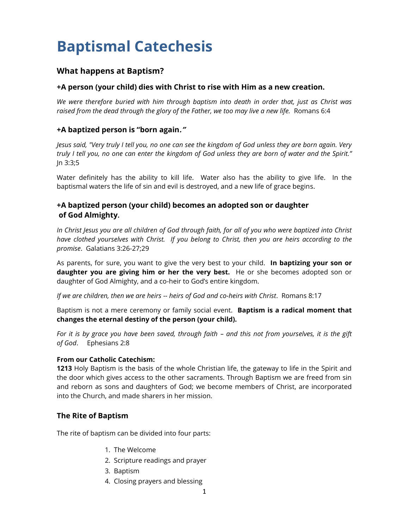# **Baptismal Catechesis**

## **What happens at Baptism?**

#### **+A person (your child) dies with Christ to rise with Him as a new creation.**

*We were therefore buried with him through baptism into death in order that, just as Christ was raised from the dead through the glory of the Father, we too may live a new life.* Romans 6:4

#### **+A baptized person is "born again."**

*Jesus said, "Very truly I tell you, no one can see the kingdom of God unless they are born again. Very truly I tell you, no one can enter the kingdom of God unless they are born of water and the Spirit."* Jn 3:3;5

Water definitely has the ability to kill life. Water also has the ability to give life. In the baptismal waters the life of sin and evil is destroyed, and a new life of grace begins.

## **+A baptized person (your child) becomes an adopted son or daughter of God Almighty.**

*In Christ Jesus you are all children of God through faith, for all of you who were baptized into Christ have clothed yourselves with Christ. If you belong to Christ, then you are heirs according to the promise*. Galatians 3:26-27;29

As parents, for sure, you want to give the very best to your child. **In baptizing your son or daughter you are giving him or her the very best.** He or she becomes adopted son or daughter of God Almighty, and a co-heir to God's entire kingdom.

*If we are children, then we are heirs -- heirs of God and co-heirs with Christ*. Romans 8:17

Baptism is not a mere ceremony or family social event. **Baptism is a radical moment that changes the eternal destiny of the person (your child).**

For it is by grace you have been saved, through faith  $-$  and this not from yourselves, it is the gift *of God*. Ephesians 2:8

#### **From our Catholic Catechism:**

**1213** Holy Baptism is the basis of the whole Christian life, the gateway to life in the Spirit and the door which gives access to the other sacraments. Through Baptism we are freed from sin and reborn as sons and daughters of God; we become members of Christ, are incorporated into the Church, and made sharers in her mission.

## **The Rite of Baptism**

The rite of baptism can be divided into four parts:

- 1. The Welcome
- 2. Scripture readings and prayer
- 3. Baptism
- 4. Closing prayers and blessing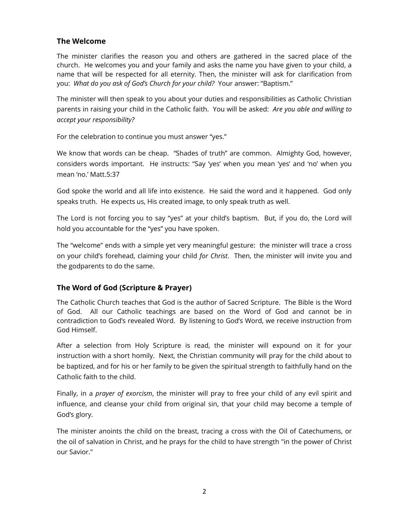## **The Welcome**

The minister clarifies the reason you and others are gathered in the sacred place of the church. He welcomes you and your family and asks the name you have given to your child, a name that will be respected for all eternity. Then, the minister will ask for clarification from you: *What do you ask of God's Church for your child?* Your answer: "Baptism."

The minister will then speak to you about your duties and responsibilities as Catholic Christian parents in raising your child in the Catholic faith. You will be asked: *Are you able and willing to accept your responsibility?* 

For the celebration to continue you must answer "yes."

We know that words can be cheap. "Shades of truth" are common. Almighty God, however, considers words important. He instructs: "Say 'yes' when you mean 'yes' and 'no' when you mean 'no.' Matt.5:37

God spoke the world and all life into existence. He said the word and it happened. God only speaks truth. He expects us, His created image, to only speak truth as well.

The Lord is not forcing you to say "yes" at your child's baptism. But, if you do, the Lord will hold you accountable for the "yes" you have spoken.

The "welcome" ends with a simple yet very meaningful gesture: the minister will trace a cross on your child's forehead, claiming your child *for Christ*. Then, the minister will invite you and the godparents to do the same.

## **The Word of God (Scripture & Prayer)**

The Catholic Church teaches that God is the author of Sacred Scripture. The Bible is the Word of God. All our Catholic teachings are based on the Word of God and cannot be in contradiction to God's revealed Word. By listening to God's Word, we receive instruction from God Himself.

After a selection from Holy Scripture is read, the minister will expound on it for your instruction with a short homily. Next, the Christian community will pray for the child about to be baptized, and for his or her family to be given the spiritual strength to faithfully hand on the Catholic faith to the child.

Finally, in a *prayer of exorcism*, the minister will pray to free your child of any evil spirit and influence, and cleanse your child from original sin, that your child may become a temple of God's glory.

The minister anoints the child on the breast, tracing a cross with the Oil of Catechumens, or the oil of salvation in Christ, and he prays for the child to have strength "in the power of Christ our Savior."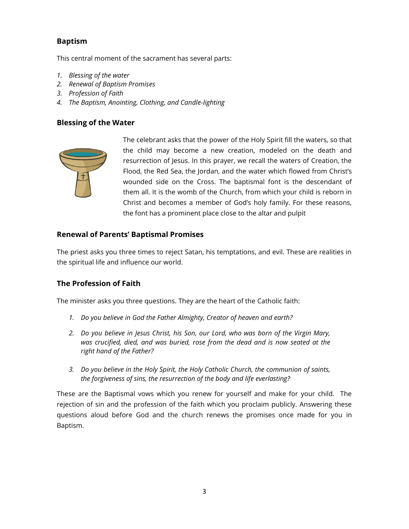## **Baptism**

This central moment of the sacrament has several parts:

- *1. Blessing of the water*
- *2. Renewal of Baptism Promises*
- *3. Profession of Faith*
- *4. The Baptism, Anointing, Clothing, and Candle-lighting*

#### **Blessing of the Water**



The celebrant asks that the power of the Holy Spirit fill the waters, so that the child may become a new creation, modeled on the death and resurrection of Jesus. In this prayer, we recall the waters of Creation, the Flood, the Red Sea, the Jordan, and the water which flowed from Christ's wounded side on the Cross. The baptismal font is the descendant of them all. It is the womb of the Church, from which your child is reborn in Christ and becomes a member of God's holy family. For these reasons, the font has a prominent place close to the altar and pulpit

#### **Renewal of Parents' Baptismal Promises**

The priest asks you three times to reject Satan, his temptations, and evil. These are realities in the spiritual life and influence our world.

## **The Profession of Faith**

The minister asks you three questions. They are the heart of the Catholic faith:

- *1. Do you believe in God the Father Almighty, Creator of heaven and earth?*
- *2. Do you believe in Jesus Christ, his Son, our Lord, who was born of the Virgin Mary, was crucified, died, and was buried, rose from the dead and is now seated at the right hand of the Father?*
- *3. Do you believe in the Holy Spirit, the Holy Catholic Church, the communion of saints, the forgiveness of sins, the resurrection of the body and life everlasting?*

These are the Baptismal vows which you renew for yourself and make for your child. The rejection of sin and the profession of the faith which you proclaim publicly. Answering these questions aloud before God and the church renews the promises once made for you in Baptism.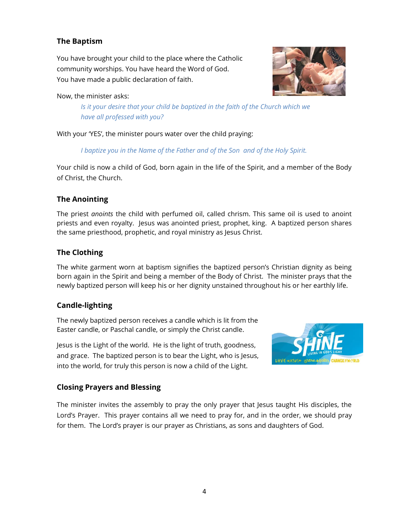## **The Baptism**

You have brought your child to the place where the Catholic community worships. You have heard the Word of God. You have made a public declaration of faith.

### Now, the minister asks:

*Is it your desire that your child be baptized in the faith of the Church which we have all professed with you?*

With your 'YES', the minister pours water over the child praying:

*I baptize you in the Name of the Father and of the Son and of the Holy Spirit.*

Your child is now a child of God, born again in the life of the Spirit, and a member of the Body of Christ, the Church.

## **The Anointing**

The priest *anoints* the child with perfumed oil, called chrism. This same oil is used to anoint priests and even royalty. Jesus was anointed priest, prophet, king. A baptized person shares the same priesthood, prophetic, and royal ministry as Jesus Christ.

## **The Clothing**

The white garment worn at baptism signifies the baptized person's Christian dignity as being born again in the Spirit and being a member of the Body of Christ. The minister prays that the newly baptized person will keep his or her dignity unstained throughout his or her earthly life.

## **Candle-lighting**

The newly baptized person receives a candle which is lit from the Easter candle, or Paschal candle, or simply the Christ candle.

Jesus is the Light of the world. He is the light of truth, goodness, and grace. The baptized person is to bear the Light, who is Jesus, into the world, for truly this person is now a child of the Light.



## **Closing Prayers and Blessing**

The minister invites the assembly to pray the only prayer that Jesus taught His disciples, the Lord's Prayer. This prayer contains all we need to pray for, and in the order, we should pray for them. The Lord's prayer is our prayer as Christians, as sons and daughters of God.